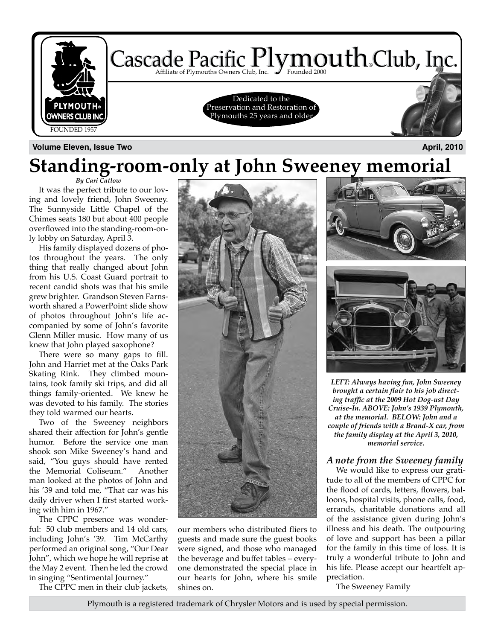

**Volume Eleven, Issue Two April, 2010**

### *By Cari Catlow* **Standing-room-only at John Sweeney memorial**

It was the perfect tribute to our loving and lovely friend, John Sweeney. The Sunnyside Little Chapel of the Chimes seats 180 but about 400 people overflowed into the standing-room-only lobby on Saturday, April 3.

His family displayed dozens of photos throughout the years. The only thing that really changed about John from his U.S. Coast Guard portrait to recent candid shots was that his smile grew brighter. Grandson Steven Farnsworth shared a PowerPoint slide show of photos throughout John's life accompanied by some of John's favorite Glenn Miller music. How many of us knew that John played saxophone?

There were so many gaps to fill. John and Harriet met at the Oaks Park Skating Rink. They climbed mountains, took family ski trips, and did all things family-oriented. We knew he was devoted to his family. The stories they told warmed our hearts.

Two of the Sweeney neighbors shared their affection for John's gentle humor. Before the service one man shook son Mike Sweeney's hand and said, "You guys should have rented the Memorial Coliseum." Another man looked at the photos of John and his '39 and told me, "That car was his daily driver when I first started working with him in 1967."

The CPPC presence was wonderful: 50 club members and 14 old cars, including John's '39. Tim McCarthy performed an original song, "Our Dear John", which we hope he will reprise at the May 2 event. Then he led the crowd in singing "Sentimental Journey."

The CPPC men in their club jackets,



our members who distributed fliers to guests and made sure the guest books were signed, and those who managed the beverage and buffet tables – everyone demonstrated the special place in our hearts for John, where his smile shines on.



*LEFT: Always having fun, John Sweeney brought a certain flair to his job directing traffic at the 2009 Hot Dog-ust Day Cruise-In. ABOVE: John's 1939 Plymouth, at the memorial. BELOW: John and a couple of friends with a Brand-X car, from the family display at the April 3, 2010, memorial service.*

#### *A note from the Sweeney family*

We would like to express our gratitude to all of the members of CPPC for the flood of cards, letters, flowers, balloons, hospital visits, phone calls, food, errands, charitable donations and all of the assistance given during John's illness and his death. The outpouring of love and support has been a pillar for the family in this time of loss. It is truly a wonderful tribute to John and his life. Please accept our heartfelt appreciation.

The Sweeney Family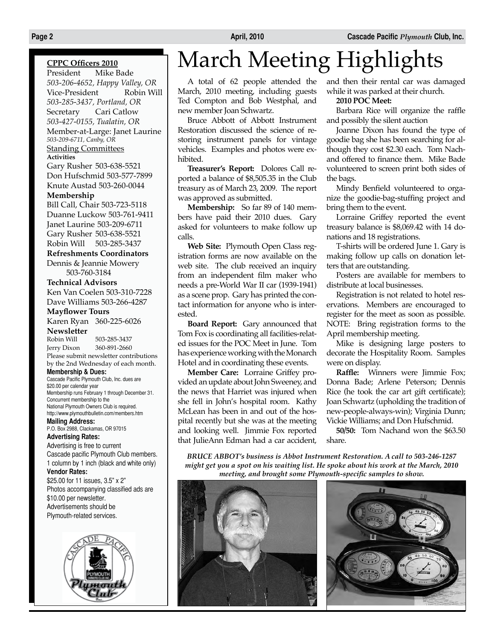#### **CPPC Officers 2010**

President Mike Bade *503-206-4652, Happy Valley, OR* Vice-President *503-285-3437, Portland, OR* Secretary Cari Catlow *503-427-0155, Tualatin, OR* Member-at-Large: Janet Laurine *503-209-6711, Canby, OR* Standing Committees **Activities**

Gary Rusher 503-638-5521 Don Hufschmid 503-577-7899 Knute Austad 503-260-0044

#### **Membership**

Bill Call, Chair 503-723-5118 Duanne Luckow 503-761-9411 Janet Laurine 503-209-6711 Gary Rusher 503-638-5521 Robin Will 503-285-3437

**Refreshments Coordinators** Dennis & Jeannie Mowery

503-760-3184

#### **Technical Advisors**

Ken Van Coelen 503-310-7228 Dave Williams 503-266-4287

#### **Mayflower Tours**

Karen Ryan 360-225-6026 **Newsletter**

503-285-3437 Jerry Dixon 360-891-2660 Please submit newsletter contributions by the 2nd Wednesday of each month.

#### **Membership & Dues:**

Cascade Pacific Plymouth Club, Inc. dues are \$20.00 per calendar year Membership runs February 1 through December 31. Concurrent membership to the National Plymouth Owners Club is required. http://www.plymouthbulletin.com/members.htm

**Mailing Address:** P.O. Box 2988, Clackamas, OR 97015

#### **Advertising Rates:**

Advertising is free to current Cascade pacific Plymouth Club members. 1 column by 1 inch (black and white only)

#### **Vendor Rates:**

\$25.00 for 11 issues, 3.5" x 2" Photos accompanying classified ads are \$10.00 per newsletter. Advertisements should be Plymouth-related services.



## March Meeting Highlights

A total of 62 people attended the March, 2010 meeting, including guests Ted Compton and Bob Westphal, and new member Joan Schwartz.

Bruce Abbott of Abbott Instrument Restoration discussed the science of restoring instrument panels for vintage vehicles. Examples and photos were exhibited.

**Treasurer's Report:** Dolores Call reported a balance of \$8,505.35 in the Club treasury as of March 23, 2009. The report was approved as submitted.

**Membership:** So far 89 of 140 members have paid their 2010 dues. Gary asked for volunteers to make follow up calls.

**Web Site:** Plymouth Open Class registration forms are now available on the web site. The club received an inquiry from an independent film maker who needs a pre-World War II car (1939-1941) as a scene prop. Gary has printed the contact information for anyone who is interested.

**Board Report:** Gary announced that Tom Fox is coordinating all facilities-related issues for the POC Meet in June. Tom has experience working with the Monarch Hotel and in coordinating these events.

**Member Care:** Lorraine Griffey provided an update about John Sweeney, and the news that Harriet was injured when she fell in John's hospital room. Kathy McLean has been in and out of the hospital recently but she was at the meeting and looking well. Jimmie Fox reported that JulieAnn Edman had a car accident, and then their rental car was damaged while it was parked at their church.

#### **2010 POC Meet:**

Barbara Rice will organize the raffle and possibly the silent auction

Joanne Dixon has found the type of goodie bag she has been searching for although they cost \$2.30 each. Tom Nachand offered to finance them. Mike Bade volunteered to screen print both sides of the bags.

Mindy Benfield volunteered to organize the goodie-bag-stuffing project and bring them to the event.

Lorraine Griffey reported the event treasury balance is \$8,069.42 with 14 donations and 18 registrations.

T-shirts will be ordered June 1. Gary is making follow up calls on donation letters that are outstanding.

Posters are available for members to distribute at local businesses.

Registration is not related to hotel reservations. Members are encouraged to register for the meet as soon as possible. NOTE: Bring registration forms to the April membership meeting.

Mike is designing large posters to decorate the Hospitality Room. Samples were on display.

**Raffle:** Winners were Jimmie Fox; Donna Bade; Arlene Peterson; Dennis Rice (he took the car art gift certificate); Joan Schwartz (upholding the tradition of new-people-always-win); Virginia Dunn; Vickie Williams; and Don Hufschmid.

**50/50:** Tom Nachand won the \$63.50 share.

*BRUCE ABBOT's business is Abbot Instrument Restoration. A call to 503-246-1287 might get you a spot on his waiting list. He spoke about his work at the March, 2010 meeting, and brought some Plymouth-specific samples to show.*



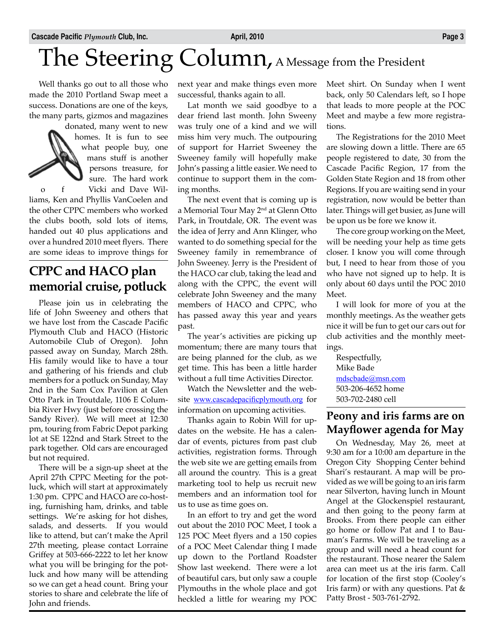# The Steering Column, A Message from the President

Well thanks go out to all those who made the 2010 Portland Swap meet a success. Donations are one of the keys, the many parts, gizmos and magazines

donated, many went to new homes. It is fun to see what people buy, one mans stuff is another persons treasure, for sure. The hard work f Vicki and Dave Williams, Ken and Phyllis VanCoelen and the other CPPC members who worked the clubs booth, sold lots of items, handed out 40 plus applications and over a hundred 2010 meet flyers. There are some ideas to improve things for

### **CPPC and HACO plan memorial cruise, potluck**

Please join us in celebrating the life of John Sweeney and others that we have lost from the Cascade Pacific Plymouth Club and HACO (Historic Automobile Club of Oregon). John passed away on Sunday, March 28th. His family would like to have a tour and gathering of his friends and club members for a potluck on Sunday, May 2nd in the Sam Cox Pavilion at Glen Otto Park in Troutdale, 1106 E Columbia River Hwy (just before crossing the Sandy River). We will meet at 12:30 pm, touring from Fabric Depot parking lot at SE 122nd and Stark Street to the park together. Old cars are encouraged but not required.

There will be a sign-up sheet at the April 27th CPPC Meeting for the potluck, which will start at approximately 1:30 pm. CPPC and HACO are co-hosting, furnishing ham, drinks, and table settings. We're asking for hot dishes, salads, and desserts. If you would like to attend, but can't make the April 27th meeting, please contact Lorraine Griffey at 503-666-2222 to let her know what you will be bringing for the potluck and how many will be attending so we can get a head count. Bring your stories to share and celebrate the life of John and friends.

next year and make things even more successful, thanks again to all.

Lat month we said goodbye to a dear friend last month. John Sweeny was truly one of a kind and we will miss him very much. The outpouring of support for Harriet Sweeney the Sweeney family will hopefully make John's passing a little easier. We need to continue to support them in the coming months.

The next event that is coming up is a Memorial Tour May 2<sup>nd</sup> at Glenn Otto Park, in Troutdale, OR. The event was the idea of Jerry and Ann Klinger, who wanted to do something special for the Sweeney family in remembrance of John Sweeney. Jerry is the President of the HACO car club, taking the lead and along with the CPPC, the event will celebrate John Sweeney and the many members of HACO and CPPC, who has passed away this year and years past.

The year's activities are picking up momentum; there are many tours that are being planned for the club, as we get time. This has been a little harder without a full time Activities Director.

Watch the Newsletter and the website www.cascadepacificplymouth.org for information on upcoming activities.

Thanks again to Robin Will for updates on the website. He has a calendar of events, pictures from past club activities, registration forms. Through the web site we are getting emails from all around the country. This is a great marketing tool to help us recruit new members and an information tool for us to use as time goes on.

In an effort to try and get the word out about the 2010 POC Meet, I took a 125 POC Meet flyers and a 150 copies of a POC Meet Calendar thing I made up down to the Portland Roadster Show last weekend. There were a lot of beautiful cars, but only saw a couple Plymouths in the whole place and got heckled a little for wearing my POC

Meet shirt. On Sunday when I went back, only 50 Calendars left, so I hope that leads to more people at the POC Meet and maybe a few more registrations.

The Registrations for the 2010 Meet are slowing down a little. There are 65 people registered to date, 30 from the Cascade Pacific Region, 17 from the Golden State Region and 18 from other Regions. If you are waiting send in your registration, now would be better than later. Things will get busier, as June will be upon us be fore we know it.

The core group working on the Meet, will be needing your help as time gets closer. I know you will come through but, I need to hear from those of you who have not signed up to help. It is only about 60 days until the POC 2010 Meet.

I will look for more of you at the monthly meetings. As the weather gets nice it will be fun to get our cars out for club activities and the monthly meetings.

Respectfully, Mike Bade mdscbade@msn.com 503-206-4652 home 503-702-2480 cell

### **Peony and iris farms are on Mayflower agenda for May**

On Wednesday, May 26, meet at 9:30 am for a 10:00 am departure in the Oregon City Shopping Center behind Shari's restaurant. A map will be provided as we will be going to an iris farm near Silverton, having lunch in Mount Angel at the Glockenspiel restaurant, and then going to the peony farm at Brooks. From there people can either go home or follow Pat and I to Bauman's Farms. We will be traveling as a group and will need a head count for the restaurant. Those nearer the Salem area can meet us at the iris farm. Call for location of the first stop (Cooley's Iris farm) or with any questions. Pat & Patty Brost - 503-761-2792.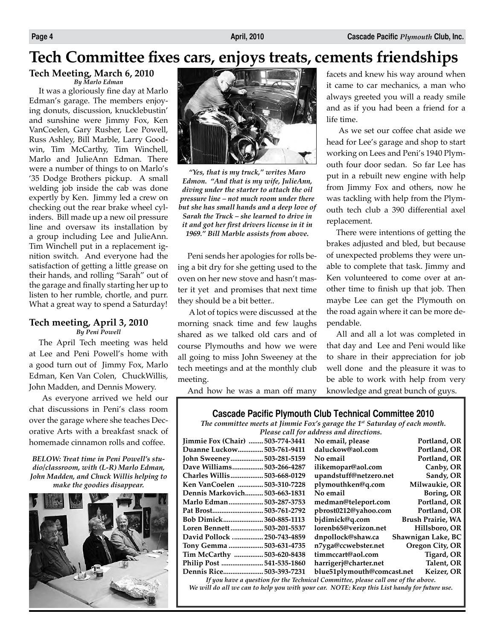### **Tech Committee fixes cars, enjoys treats, cements friendships**

#### **Tech Meeting, March 6, 2010** *By Marlo Edman*

It was a gloriously fine day at Marlo Edman's garage. The members enjoying donuts, discussion, knucklebustin' and sunshine were Jimmy Fox, Ken VanCoelen, Gary Rusher, Lee Powell, Russ Ashley, Bill Marble, Larry Goodwin, Tim McCarthy, Tim Winchell, Marlo and JulieAnn Edman. There were a number of things to on Marlo's '35 Dodge Brothers pickup. A small welding job inside the cab was done expertly by Ken. Jimmy led a crew on checking out the rear brake wheel cylinders. Bill made up a new oil pressure line and oversaw its installation by a group including Lee and JulieAnn. Tim Winchell put in a replacement ignition switch. And everyone had the satisfaction of getting a little grease on their hands, and rolling "Sarah" out of the garage and finally starting her up to listen to her rumble, chortle, and purr. What a great way to spend a Saturday!

#### **Tech meeting, April 3, 2010** *By Peni Powell*

The April Tech meeting was held at Lee and Peni Powell's home with a good turn out of Jimmy Fox, Marlo Edman, Ken Van Colen, ChuckWillis, John Madden, and Dennis Mowery.

 As everyone arrived we held our chat discussions in Peni's class room over the garage where she teaches Decorative Arts with a breakfast snack of homemade cinnamon rolls and coffee.

*BELOW: Treat time in Peni Powell's studio/classroom, with (L-R) Marlo Edman, John Madden, and Chuck Willis helping to make the goodies disappear.*





*"Yes, that is my truck," writes Maro Edmon. "And that is my wife, JulieAnn, diving under the starter to attach the oil pressure line – not much room under there but she has small hands and a deep love of Sarah the Truck – she learned to drive in it and got her first drivers license in it in 1969." Bill Marble assists from above.*

Peni sends her apologies for rolls being a bit dry for she getting used to the oven on her new stove and hasn't master it yet and promises that next time they should be a bit better..

 A lot of topics were discussed at the morning snack time and few laughs shared as we talked old cars and of course Plymouths and how we were all going to miss John Sweeney at the tech meetings and at the monthly club meeting.

facets and knew his way around when it came to car mechanics, a man who always greeted you will a ready smile and as if you had been a friend for a life time.

 As we set our coffee chat aside we head for Lee's garage and shop to start working on Lees and Peni's 1940 Plymouth four door sedan. So far Lee has put in a rebuilt new engine with help from Jimmy Fox and others, now he was tackling with help from the Plymouth tech club a 390 differential axel replacement.

There were intentions of getting the brakes adjusted and bled, but because of unexpected problems they were unable to complete that task. Jimmy and Ken volunteered to come over at another time to finish up that job. Then maybe Lee can get the Plymouth on the road again where it can be more dependable.

All and all a lot was completed in that day and Lee and Peni would like to share in their appreciation for job well done and the pleasure it was to be able to work with help from very knowledge and great bunch of guys.

And how he was a man off many

#### **Cascade Pacific Plymouth Club Technical Committee 2010**

*The committee meets at Jimmie Fox's garage the 1st Saturday of each month.* 

| Please call for address and directions. |                            |                          |  |
|-----------------------------------------|----------------------------|--------------------------|--|
| Jimmie Fox (Chair)  503-774-3441        | No email, please           | Portland, OR             |  |
| Duanne Luckow 503-761-9411              | daluckow@aol.com           | Portland, OR             |  |
| John Sweeney 503-281-5159               | No email                   | Portland, OR             |  |
| Dave Williams503-266-4287               | ilikemopar@aol.com         | Canby, OR                |  |
| Charles Willis503-668-0129              | upandstuff@netzero.net     | Sandy, OR                |  |
| Ken VanCoelen 503-310-7228              | plymouthken@q.com          | Milwaukie, OR            |  |
| Dennis Markovich 503-663-1831           | No email                   | Boring, OR               |  |
| Marlo Edman503-287-3753                 | medman@teleport.com        | Portland, OR             |  |
|                                         | pbrost0212@yahoo.com       | Portland, OR             |  |
| Bob Dimick360-885-1113                  | bjdimick@q.com             | <b>Brush Prairie, WA</b> |  |
| Loren Bennett503-201-5537               | lorenb65@verizon.net       | Hillsboro, OR            |  |
| David Pollock<br>.250-743-4859          | dnpollock@shaw.ca          | Shawnigan Lake, BC       |  |
| Tony Gemma 503-631-4735                 | n7yga@ccwebster.net        | Oregon City, OR          |  |
| Tim McCarthy  503-620-8438              | timmccart@aol.com          | Tigard, OR               |  |
| Philip Post 541-535-1860                | harrigerj@charter.net      | Talent, OR               |  |
| Dennis Rice 503-393-7231                | blue51plymouth@comcast.net | Keizer, OR               |  |
|                                         |                            |                          |  |

*If you have a question for the Technical Committee, please call one of the above. We will do all we can to help you with your car. NOTE: Keep this List handy for future use.*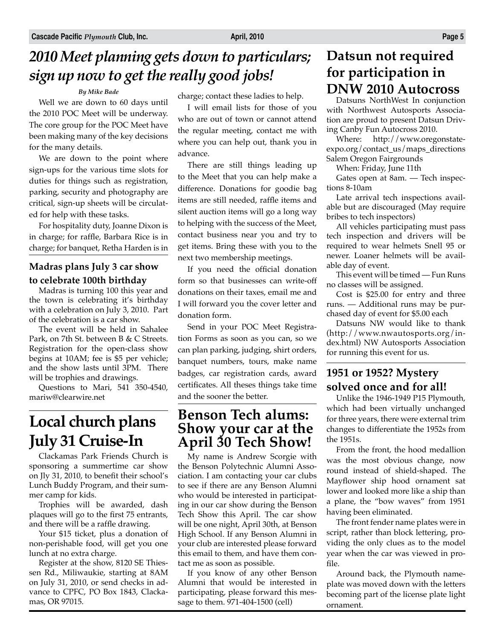## *2010 Meet planning gets down to particulars; sign up now to get the really good jobs!*

#### *By Mike Bade*

Well we are down to 60 days until the 2010 POC Meet will be underway. The core group for the POC Meet have been making many of the key decisions for the many details.

We are down to the point where sign-ups for the various time slots for duties for things such as registration, parking, security and photography are critical, sign-up sheets will be circulated for help with these tasks.

For hospitality duty, Joanne Dixon is in charge; for raffle, Barbara Rice is in charge; for banquet, Retha Harden is in

#### **Madras plans July 3 car show to celebrate 100th birthday**

Madras is turning 100 this year and the town is celebrating it's birthday with a celebration on July 3, 2010. Part of the celebration is a car show.

The event will be held in Sahalee Park, on 7th St. between B & C Streets. Registration for the open-class show begins at 10AM; fee is \$5 per vehicle; and the show lasts until 3PM. There will be trophies and drawings.

Questions to Mari, 541 350-4540, mariw@clearwire.net

## **Local church plans July 31 Cruise-In**

Clackamas Park Friends Church is sponsoring a summertime car show on Jly 31, 2010, to benefit their school's Lunch Buddy Program, and their summer camp for kids.

Trophies will be awarded, dash plaques will go to the first 75 entrants, and there will be a raffle drawing.

Your \$15 ticket, plus a donation of non-perishable food, will get you one lunch at no extra charge.

Register at the show, 8120 SE Thiessen Rd., Miliwaukie, starting at 8AM on July 31, 2010, or send checks in advance to CPFC, PO Box 1843, Clackamas, OR 97015.

charge; contact these ladies to help.

I will email lists for those of you who are out of town or cannot attend the regular meeting, contact me with where you can help out, thank you in advance.

There are still things leading up to the Meet that you can help make a difference. Donations for goodie bag items are still needed, raffle items and silent auction items will go a long way to helping with the success of the Meet, contact business near you and try to get items. Bring these with you to the next two membership meetings.

If you need the official donation form so that businesses can write-off donations on their taxes, email me and I will forward you the cover letter and donation form.

Send in your POC Meet Registration Forms as soon as you can, so we can plan parking, judging, shirt orders, banquet numbers, tours, make name badges, car registration cards, award certificates. All theses things take time and the sooner the better.

### **Benson Tech alums: Show your car at the April 30 Tech Show!**

My name is Andrew Scorgie with the Benson Polytechnic Alumni Association. I am contacting your car clubs to see if there are any Benson Alumni who would be interested in participating in our car show during the Benson Tech Show this April. The car show will be one night, April 30th, at Benson High School. If any Benson Alumni in your club are interested please forward this email to them, and have them contact me as soon as possible.

If you know of any other Benson Alumni that would be interested in participating, please forward this message to them. 971-404-1500 (cell)

### **Datsun not required for participation in DNW 2010 Autocross**

Datsuns NorthWest In conjunction with Northwest Autosports Association are proud to present Datsun Driving Canby Fun Autocross 2010.

Where: http://www.oregonstateexpo.org/contact\_us/maps\_directions Salem Oregon Fairgrounds

When: Friday, June 11th

Gates open at 8am. — Tech inspections 8-10am

Late arrival tech inspections available but are discouraged (May require bribes to tech inspectors)

All vehicles participating must pass tech inspection and drivers will be required to wear helmets Snell 95 or newer. Loaner helmets will be available day of event.

This event will be timed — Fun Runs no classes will be assigned.

Cost is \$25.00 for entry and three runs. — Additional runs may be purchased day of event for \$5.00 each

Datsuns NW would like to thank (http://www.nwautosports.org/index.html) NW Autosports Association for running this event for us.

### **1951 or 1952? Mystery solved once and for all!**

Unlike the 1946-1949 P15 Plymouth, which had been virtually unchanged for three years, there were external trim changes to differentiate the 1952s from the 1951s.

From the front, the hood medallion was the most obvious change, now round instead of shield-shaped. The Mayflower ship hood ornament sat lower and looked more like a ship than a plane, the "bow waves" from 1951 having been eliminated.

The front fender name plates were in script, rather than block lettering, providing the only clues as to the model year when the car was viewed in profile.

Around back, the Plymouth nameplate was moved down with the letters becoming part of the license plate light ornament.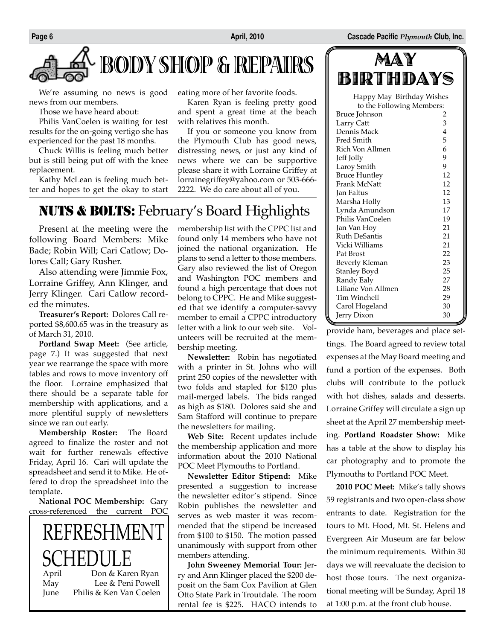

We're assuming no news is good news from our members.

Those we have heard about:

Philis VanCoelen is waiting for test results for the on-going vertigo she has experienced for the past 18 months.

Chuck Willis is feeling much better but is still being put off with the knee replacement.

Kathy McLean is feeling much better and hopes to get the okay to start eating more of her favorite foods.

Karen Ryan is feeling pretty good and spent a great time at the beach with relatives this month.

If you or someone you know from the Plymouth Club has good news, distressing news, or just any kind of news where we can be supportive please share it with Lorraine Griffey at lorrainegriffey@yahoo.com or 503-666- 2222. We do care about all of you.

### NUTS & BOLTS: February's Board Highlights

Present at the meeting were the following Board Members: Mike Bade; Robin Will; Cari Catlow; Dolores Call; Gary Rusher.

Also attending were Jimmie Fox, Lorraine Griffey, Ann Klinger, and Jerry Klinger. Cari Catlow recorded the minutes.

**Treasurer's Report:** Dolores Call reported \$8,600.65 was in the treasury as of March 31, 2010.

**Portland Swap Meet:** (See article, page 7.) It was suggested that next year we rearrange the space with more tables and rows to move inventory off the floor. Lorraine emphasized that there should be a separate table for membership with applications, and a more plentiful supply of newsletters since we ran out early.

**Membership Roster:** The Board agreed to finalize the roster and not wait for further renewals effective Friday, April 16. Cari will update the spreadsheet and send it to Mike. He offered to drop the spreadsheet into the template.

**National POC Membership:** Gary cross-referenced the current POC

REFRESHMEN  $SCHED$ Don & Karen Ryan May Lee & Peni Powell June Philis & Ken Van Coelen membership list with the CPPC list and found only 14 members who have not joined the national organization. He plans to send a letter to those members. Gary also reviewed the list of Oregon and Washington POC members and found a high percentage that does not belong to CPPC. He and Mike suggested that we identify a computer-savvy member to email a CPPC introductory letter with a link to our web site. Volunteers will be recruited at the membership meeting.

**Newsletter:** Robin has negotiated with a printer in St. Johns who will print 250 copies of the newsletter with two folds and stapled for \$120 plus mail-merged labels. The bids ranged as high as \$180. Dolores said she and Sam Stafford will continue to prepare the newsletters for mailing.

**Web Site:** Recent updates include the membership application and more information about the 2010 National POC Meet Plymouths to Portland.

**Newsletter Editor Stipend:** Mike presented a suggestion to increase the newsletter editor's stipend. Since Robin publishes the newsletter and serves as web master it was recommended that the stipend be increased from \$100 to \$150. The motion passed unanimously with support from other members attending.

**John Sweeney Memorial Tour:** Jerry and Ann Klinger placed the \$200 deposit on the Sam Cox Pavilion at Glen Otto State Park in Troutdale. The room rental fee is \$225. HACO intends to

MAY BIRTHDAYS

| Happy May Birthday Wishes |         |  |
|---------------------------|---------|--|
| to the Following Members: |         |  |
| Bruce Johnson             | 2       |  |
| Larry Catt                | 3       |  |
| Dennis Mack               | 4       |  |
| Fred Smith                | 5       |  |
| Rich Von Allmen           | 6       |  |
| Jeff Jolly                | 9       |  |
| Laroy Smith               | 9       |  |
| <b>Bruce Huntley</b>      | 12      |  |
| Frank McNatt              | 12      |  |
| Jan Faltus                | 12      |  |
| Marsha Holly              | 13      |  |
| Lynda Amundson            | 17      |  |
| Philis VanCoelen          | 19      |  |
| Jan Van Hoy               | 21      |  |
| <b>Ruth DeSantis</b>      | 21      |  |
| Vicki Williams            | 21      |  |
| Pat Brost                 | 22      |  |
| Beverly Kleman            | 23      |  |
| Stanley Boyd              | 25      |  |
| Randy Ealy                | 27      |  |
| Liliane Von Allmen        | 28      |  |
| Tim Winchell              | 29      |  |
| Carol Hogeland            | 30      |  |
| Jerry Dixon               | 30<br>í |  |

provide ham, beverages and place settings. The Board agreed to review total expenses at the May Board meeting and fund a portion of the expenses. Both clubs will contribute to the potluck with hot dishes, salads and desserts. Lorraine Griffey will circulate a sign up sheet at the April 27 membership meeting. **Portland Roadster Show:** Mike has a table at the show to display his car photography and to promote the Plymouths to Portland POC Meet.

**2010 POC Meet:** Mike's tally shows 59 registrants and two open-class show entrants to date. Registration for the tours to Mt. Hood, Mt. St. Helens and Evergreen Air Museum are far below the minimum requirements. Within 30 days we will reevaluate the decision to host those tours. The next organizational meeting will be Sunday, April 18 at 1:00 p.m. at the front club house.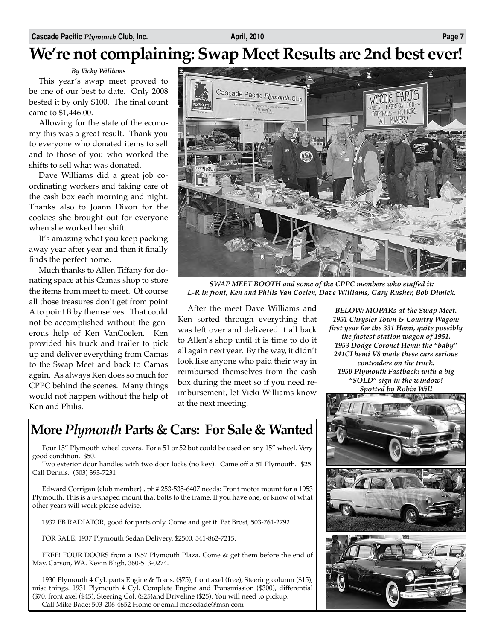### **We're not complaining: Swap Meet Results are 2nd best ever!**

*By Vicky Williams*

This year's swap meet proved to be one of our best to date. Only 2008 bested it by only \$100. The final count came to \$1,446.00.

Allowing for the state of the economy this was a great result. Thank you to everyone who donated items to sell and to those of you who worked the shifts to sell what was donated.

Dave Williams did a great job coordinating workers and taking care of the cash box each morning and night. Thanks also to Joann Dixon for the cookies she brought out for everyone when she worked her shift.

It's amazing what you keep packing away year after year and then it finally finds the perfect home.

Much thanks to Allen Tiffany for donating space at his Camas shop to store the items from meet to meet. Of course all those treasures don't get from point A to point B by themselves. That could not be accomplished without the generous help of Ken VanCoelen. Ken provided his truck and trailer to pick up and deliver everything from Camas to the Swap Meet and back to Camas again. As always Ken does so much for CPPC behind the scenes. Many things would not happen without the help of Ken and Philis.



*SWAP MEET BOOTH and some of the CPPC members who staffed it: L-R in front, Ken and Philis Van Coelen, Dave Williams, Gary Rusher, Bob Dimick.*

After the meet Dave Williams and Ken sorted through everything that was left over and delivered it all back to Allen's shop until it is time to do it all again next year. By the way, it didn't look like anyone who paid their way in reimbursed themselves from the cash box during the meet so if you need reimbursement, let Vicki Williams know at the next meeting.

*1951 Chrysler Town & Country Wagon: first year for the 331 Hemi, quite possibly the fastest station wagon of 1951. 1953 Dodge Coronet Hemi: the "baby" 241CI hemi V8 made these cars serious contenders on the track. 1950 Plymouth Fastback: with a big "SOLD" sign in the window! Spotted by Robin Will*

*BELOW: MOPARs at the Swap Meet.*



### **More** *Plymouth* **Parts & Cars: For Sale & Wanted**

Four 15" Plymouth wheel covers. For a 51 or 52 but could be used on any 15" wheel. Very good condition. \$50.

Two exterior door handles with two door locks (no key). Came off a 51 Plymouth. \$25. Call Dennis. (503) 393-7231

Edward Corrigan (club member), ph# 253-535-6407 needs: Front motor mount for a 1953 Plymouth. This is a u-shaped mount that bolts to the frame. If you have one, or know of what other years will work please advise.

1932 PB RADIATOR, good for parts only. Come and get it. Pat Brost, 503-761-2792.

FOR SALE: 1937 Plymouth Sedan Delivery. \$2500. 541-862-7215.

FREE! FOUR DOORS from a 1957 Plymouth Plaza. Come & get them before the end of May. Carson, WA. Kevin Bligh, 360-513-0274.

1930 Plymouth 4 Cyl. parts Engine & Trans. (\$75), front axel (free), Steering column (\$15), misc things. 1931 Plymouth 4 Cyl. Complete Engine and Transmission (\$300), differential (\$70, front axel (\$45), Steering Col. (\$25)and Driveline (\$25). You will need to pickup. Call Mike Bade: 503-206-4652 Home or email mdscdade@msn.com